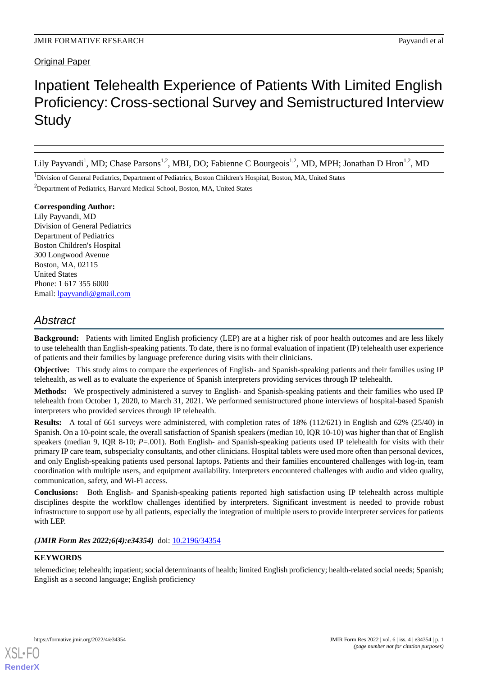## **Original Paper**

# Inpatient Telehealth Experience of Patients With Limited English Proficiency: Cross-sectional Survey and Semistructured Interview **Study**

Lily Payvandi<sup>1</sup>, MD; Chase Parsons<sup>1,2</sup>, MBI, DO; Fabienne C Bourgeois<sup>1,2</sup>, MD, MPH; Jonathan D Hron<sup>1,2</sup>, MD

<sup>1</sup>Division of General Pediatrics, Department of Pediatrics, Boston Children's Hospital, Boston, MA, United States

<sup>2</sup>Department of Pediatrics, Harvard Medical School, Boston, MA, United States

## **Corresponding Author:**

Lily Payvandi, MD Division of General Pediatrics Department of Pediatrics Boston Children's Hospital 300 Longwood Avenue Boston, MA, 02115 United States Phone: 1 617 355 6000 Email: [lpayvandi@gmail.com](mailto:lpayvandi@gmail.com)

## *Abstract*

**Background:** Patients with limited English proficiency (LEP) are at a higher risk of poor health outcomes and are less likely to use telehealth than English-speaking patients. To date, there is no formal evaluation of inpatient (IP) telehealth user experience of patients and their families by language preference during visits with their clinicians.

**Objective:** This study aims to compare the experiences of English- and Spanish-speaking patients and their families using IP telehealth, as well as to evaluate the experience of Spanish interpreters providing services through IP telehealth.

**Methods:** We prospectively administered a survey to English- and Spanish-speaking patients and their families who used IP telehealth from October 1, 2020, to March 31, 2021. We performed semistructured phone interviews of hospital-based Spanish interpreters who provided services through IP telehealth.

**Results:** A total of 661 surveys were administered, with completion rates of 18% (112/621) in English and 62% (25/40) in Spanish. On a 10-point scale, the overall satisfaction of Spanish speakers (median 10, IQR 10-10) was higher than that of English speakers (median 9, IQR 8-10; *P*=.001). Both English- and Spanish-speaking patients used IP telehealth for visits with their primary IP care team, subspecialty consultants, and other clinicians. Hospital tablets were used more often than personal devices, and only English-speaking patients used personal laptops. Patients and their families encountered challenges with log-in, team coordination with multiple users, and equipment availability. Interpreters encountered challenges with audio and video quality, communication, safety, and Wi-Fi access.

**Conclusions:** Both English- and Spanish-speaking patients reported high satisfaction using IP telehealth across multiple disciplines despite the workflow challenges identified by interpreters. Significant investment is needed to provide robust infrastructure to support use by all patients, especially the integration of multiple users to provide interpreter services for patients with LEP.

*(JMIR Form Res 2022;6(4):e34354)* doi: [10.2196/34354](http://dx.doi.org/10.2196/34354)

## **KEYWORDS**

telemedicine; telehealth; inpatient; social determinants of health; limited English proficiency; health-related social needs; Spanish; English as a second language; English proficiency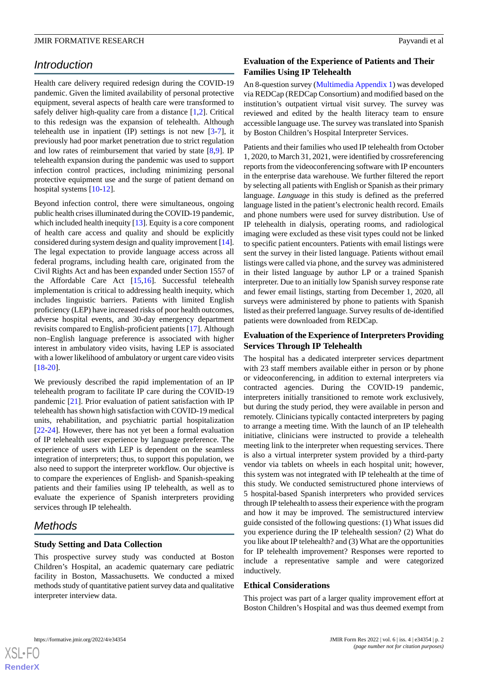## *Introduction*

Health care delivery required redesign during the COVID-19 pandemic. Given the limited availability of personal protective equipment, several aspects of health care were transformed to safely deliver high-quality care from a distance  $[1,2]$  $[1,2]$  $[1,2]$ . Critical to this redesign was the expansion of telehealth. Although telehealth use in inpatient (IP) settings is not new  $[3-7]$  $[3-7]$ , it previously had poor market penetration due to strict regulation and low rates of reimbursement that varied by state [[8](#page-4-4)[,9\]](#page-4-5). IP telehealth expansion during the pandemic was used to support infection control practices, including minimizing personal protective equipment use and the surge of patient demand on hospital systems [\[10](#page-4-6)-[12\]](#page-5-0).

Beyond infection control, there were simultaneous, ongoing public health crises illuminated during the COVID-19 pandemic, which included health inequity [\[13](#page-5-1)]. Equity is a core component of health care access and quality and should be explicitly considered during system design and quality improvement [[14\]](#page-5-2). The legal expectation to provide language access across all federal programs, including health care, originated from the Civil Rights Act and has been expanded under Section 1557 of the Affordable Care Act [\[15](#page-5-3),[16\]](#page-5-4). Successful telehealth implementation is critical to addressing health inequity, which includes linguistic barriers. Patients with limited English proficiency (LEP) have increased risks of poor health outcomes, adverse hospital events, and 30-day emergency department revisits compared to English-proficient patients [[17\]](#page-5-5). Although non–English language preference is associated with higher interest in ambulatory video visits, having LEP is associated with a lower likelihood of ambulatory or urgent care video visits [[18](#page-5-6)[-20](#page-5-7)].

We previously described the rapid implementation of an IP telehealth program to facilitate IP care during the COVID-19 pandemic [[21\]](#page-5-8). Prior evaluation of patient satisfaction with IP telehealth has shown high satisfaction with COVID-19 medical units, rehabilitation, and psychiatric partial hospitalization [[22](#page-5-9)[-24](#page-5-10)]. However, there has not yet been a formal evaluation of IP telehealth user experience by language preference. The experience of users with LEP is dependent on the seamless integration of interpreters; thus, to support this population, we also need to support the interpreter workflow. Our objective is to compare the experiences of English- and Spanish-speaking patients and their families using IP telehealth, as well as to evaluate the experience of Spanish interpreters providing services through IP telehealth.

## *Methods*

### **Study Setting and Data Collection**

This prospective survey study was conducted at Boston Children's Hospital, an academic quaternary care pediatric facility in Boston, Massachusetts. We conducted a mixed methods study of quantitative patient survey data and qualitative interpreter interview data.

## **Evaluation of the Experience of Patients and Their Families Using IP Telehealth**

An 8-question survey ([Multimedia Appendix 1](#page-4-7)) was developed via REDCap (REDCap Consortium) and modified based on the institution's outpatient virtual visit survey. The survey was reviewed and edited by the health literacy team to ensure accessible language use. The survey was translated into Spanish by Boston Children's Hospital Interpreter Services.

Patients and their families who used IP telehealth from October 1, 2020, to March 31, 2021, were identified by crossreferencing reports from the videoconferencing software with IP encounters in the enterprise data warehouse. We further filtered the report by selecting all patients with English or Spanish as their primary language. *Language* in this study is defined as the preferred language listed in the patient's electronic health record. Emails and phone numbers were used for survey distribution. Use of IP telehealth in dialysis, operating rooms, and radiological imaging were excluded as these visit types could not be linked to specific patient encounters. Patients with email listings were sent the survey in their listed language. Patients without email listings were called via phone, and the survey was administered in their listed language by author LP or a trained Spanish interpreter. Due to an initially low Spanish survey response rate and fewer email listings, starting from December 1, 2020, all surveys were administered by phone to patients with Spanish listed as their preferred language. Survey results of de-identified patients were downloaded from REDCap.

## **Evaluation of the Experience of Interpreters Providing Services Through IP Telehealth**

The hospital has a dedicated interpreter services department with 23 staff members available either in person or by phone or videoconferencing, in addition to external interpreters via contracted agencies. During the COVID-19 pandemic, interpreters initially transitioned to remote work exclusively, but during the study period, they were available in person and remotely. Clinicians typically contacted interpreters by paging to arrange a meeting time. With the launch of an IP telehealth initiative, clinicians were instructed to provide a telehealth meeting link to the interpreter when requesting services. There is also a virtual interpreter system provided by a third-party vendor via tablets on wheels in each hospital unit; however, this system was not integrated with IP telehealth at the time of this study. We conducted semistructured phone interviews of 5 hospital-based Spanish interpreters who provided services through IP telehealth to assess their experience with the program and how it may be improved. The semistructured interview guide consisted of the following questions: (1) What issues did you experience during the IP telehealth session? (2) What do you like about IP telehealth? and (3) What are the opportunities for IP telehealth improvement? Responses were reported to include a representative sample and were categorized inductively.

#### **Ethical Considerations**

This project was part of a larger quality improvement effort at Boston Children's Hospital and was thus deemed exempt from

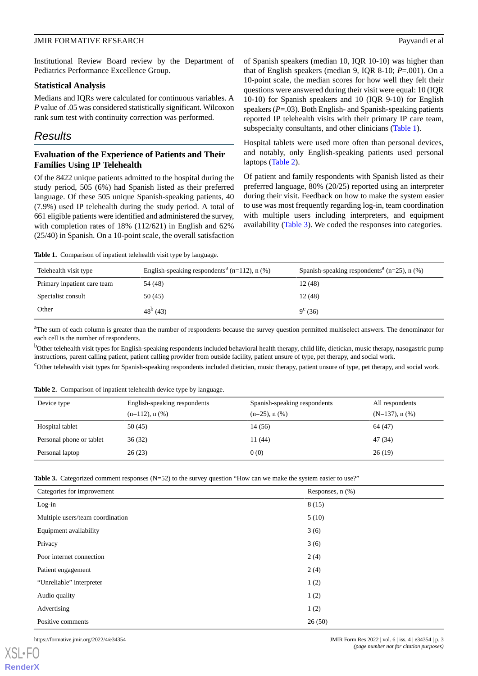Institutional Review Board review by the Department of Pediatrics Performance Excellence Group.

#### **Statistical Analysis**

Medians and IQRs were calculated for continuous variables. A *P* value of .05 was considered statistically significant. Wilcoxon rank sum test with continuity correction was performed.

## *Results*

## **Evaluation of the Experience of Patients and Their Families Using IP Telehealth**

Of the 8422 unique patients admitted to the hospital during the study period, 505 (6%) had Spanish listed as their preferred language. Of these 505 unique Spanish-speaking patients, 40 (7.9%) used IP telehealth during the study period. A total of 661 eligible patients were identified and administered the survey, with completion rates of 18% (112/621) in English and 62% (25/40) in Spanish. On a 10-point scale, the overall satisfaction

of Spanish speakers (median 10, IQR 10-10) was higher than that of English speakers (median 9, IQR 8-10; *P*=.001). On a 10-point scale, the median scores for how well they felt their questions were answered during their visit were equal: 10 (IQR 10-10) for Spanish speakers and 10 (IQR 9-10) for English speakers (*P*=.03). Both English- and Spanish-speaking patients reported IP telehealth visits with their primary IP care team, subspecialty consultants, and other clinicians ([Table 1](#page-2-0)).

Hospital tablets were used more often than personal devices, and notably, only English-speaking patients used personal laptops [\(Table 2\)](#page-2-1).

Of patient and family respondents with Spanish listed as their preferred language, 80% (20/25) reported using an interpreter during their visit. Feedback on how to make the system easier to use was most frequently regarding log-in, team coordination with multiple users including interpreters, and equipment availability [\(Table 3\)](#page-2-2). We coded the responses into categories.

<span id="page-2-0"></span>**Table 1.** Comparison of inpatient telehealth visit type by language.

| Telehealth visit type       | English-speaking respondents <sup>a</sup> (n=112), n $(\%)$ | Spanish-speaking respondents <sup>a</sup> (n=25), n $(\%)$ |
|-----------------------------|-------------------------------------------------------------|------------------------------------------------------------|
| Primary inpatient care team | 54 (48)                                                     | 12 (48)                                                    |
| Specialist consult          | 50 (45)                                                     | 12 (48)                                                    |
| Other                       | $48^{\rm b}$ (43)                                           | $9^{\circ}$ (36)                                           |

<sup>a</sup>The sum of each column is greater than the number of respondents because the survey question permitted multiselect answers. The denominator for each cell is the number of respondents.

<span id="page-2-1"></span><sup>b</sup>Other telehealth visit types for English-speaking respondents included behavioral health therapy, child life, dietician, music therapy, nasogastric pump instructions, parent calling patient, patient calling provider from outside facility, patient unsure of type, pet therapy, and social work.

<sup>c</sup>Other telehealth visit types for Spanish-speaking respondents included dietician, music therapy, patient unsure of type, pet therapy, and social work.

**Table 2.** Comparison of inpatient telehealth device type by language.

<span id="page-2-2"></span>

| Device type              | English-speaking respondents<br>$(n=112)$ , n $(\%)$ | Spanish-speaking respondents<br>$(n=25)$ , n $(\%)$ | All respondents<br>$(N=137)$ , n $(\%)$ |
|--------------------------|------------------------------------------------------|-----------------------------------------------------|-----------------------------------------|
| Hospital tablet          | 50 (45)                                              | 14 (56)                                             | 64 (47)                                 |
| Personal phone or tablet | 36(32)                                               | 11 (44)                                             | 47 (34)                                 |
| Personal laptop          | 26(23)                                               | 0(0)                                                | 26(19)                                  |

**Table 3.** Categorized comment responses (N=52) to the survey question "How can we make the system easier to use?"

| Categories for improvement       | Responses, n (%) |
|----------------------------------|------------------|
| $Log-in$                         | 8(15)            |
| Multiple users/team coordination | 5(10)            |
| Equipment availability           | 3(6)             |
| Privacy                          | 3(6)             |
| Poor internet connection         | 2(4)             |
| Patient engagement               | 2(4)             |
| "Unreliable" interpreter         | 1(2)             |
| Audio quality                    | 1(2)             |
| Advertising                      | 1(2)             |
| Positive comments                | 26(50)           |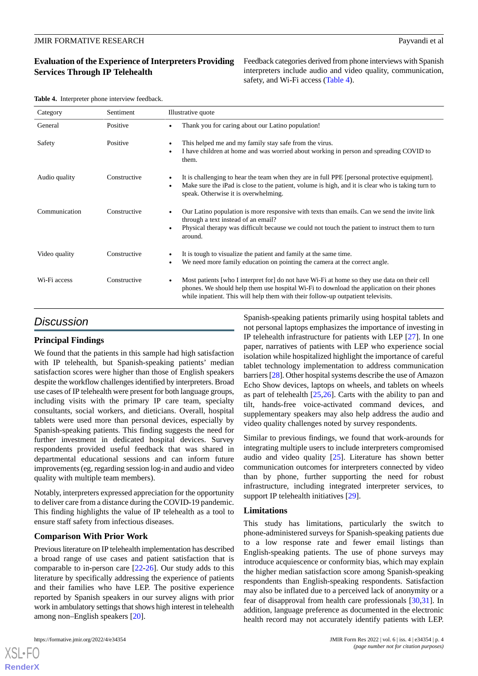## **Evaluation of the Experience of Interpreters Providing Services Through IP Telehealth**

Feedback categories derived from phone interviews with Spanish interpreters include audio and video quality, communication, safety, and Wi-Fi access [\(Table 4\)](#page-3-0).

<span id="page-3-0"></span>

| Table 4. Interpreter phone interview feedback. |
|------------------------------------------------|
|------------------------------------------------|

| Category      | Sentiment    | Illustrative quote                                                                                                                                                                                                                                                           |  |
|---------------|--------------|------------------------------------------------------------------------------------------------------------------------------------------------------------------------------------------------------------------------------------------------------------------------------|--|
| General       | Positive     | Thank you for caring about our Latino population!                                                                                                                                                                                                                            |  |
| Safety        | Positive     | This helped me and my family stay safe from the virus.<br>I have children at home and was worried about working in person and spreading COVID to<br>them.                                                                                                                    |  |
| Audio quality | Constructive | It is challenging to hear the team when they are in full PPE [personal protective equipment].<br>Make sure the iPad is close to the patient, volume is high, and it is clear who is taking turn to<br>speak. Otherwise it is overwhelming.                                   |  |
| Communication | Constructive | Our Latino population is more responsive with texts than emails. Can we send the invite link<br>through a text instead of an email?<br>Physical therapy was difficult because we could not touch the patient to instruct them to turn<br>around.                             |  |
| Video quality | Constructive | It is tough to visualize the patient and family at the same time.<br>We need more family education on pointing the camera at the correct angle.                                                                                                                              |  |
| Wi-Fi access  | Constructive | Most patients who I interpret for do not have Wi-Fi at home so they use data on their cell<br>phones. We should help them use hospital Wi-Fi to download the application on their phones<br>while inpatient. This will help them with their follow-up outpatient televisits. |  |

## *Discussion*

## **Principal Findings**

We found that the patients in this sample had high satisfaction with IP telehealth, but Spanish-speaking patients' median satisfaction scores were higher than those of English speakers despite the workflow challenges identified by interpreters. Broad use cases of IP telehealth were present for both language groups, including visits with the primary IP care team, specialty consultants, social workers, and dieticians. Overall, hospital tablets were used more than personal devices, especially by Spanish-speaking patients. This finding suggests the need for further investment in dedicated hospital devices. Survey respondents provided useful feedback that was shared in departmental educational sessions and can inform future improvements (eg, regarding session log-in and audio and video quality with multiple team members).

Notably, interpreters expressed appreciation for the opportunity to deliver care from a distance during the COVID-19 pandemic. This finding highlights the value of IP telehealth as a tool to ensure staff safety from infectious diseases.

### **Comparison With Prior Work**

Previous literature on IP telehealth implementation has described a broad range of use cases and patient satisfaction that is comparable to in-person care [\[22](#page-5-9)[-26](#page-5-11)]. Our study adds to this literature by specifically addressing the experience of patients and their families who have LEP. The positive experience reported by Spanish speakers in our survey aligns with prior work in ambulatory settings that shows high interest in telehealth among non–English speakers [[20\]](#page-5-7).

[XSL](http://www.w3.org/Style/XSL)•FO **[RenderX](http://www.renderx.com/)**

Spanish-speaking patients primarily using hospital tablets and not personal laptops emphasizes the importance of investing in IP telehealth infrastructure for patients with LEP [\[27](#page-5-12)]. In one paper, narratives of patients with LEP who experience social isolation while hospitalized highlight the importance of careful tablet technology implementation to address communication barriers [[28](#page-5-13)]. Other hospital systems describe the use of Amazon Echo Show devices, laptops on wheels, and tablets on wheels as part of telehealth  $[25,26]$  $[25,26]$  $[25,26]$ . Carts with the ability to pan and tilt, hands-free voice-activated command devices, and supplementary speakers may also help address the audio and video quality challenges noted by survey respondents.

Similar to previous findings, we found that work-arounds for integrating multiple users to include interpreters compromised audio and video quality [[25\]](#page-5-14). Literature has shown better communication outcomes for interpreters connected by video than by phone, further supporting the need for robust infrastructure, including integrated interpreter services, to support IP telehealth initiatives [[29\]](#page-5-15).

#### **Limitations**

This study has limitations, particularly the switch to phone-administered surveys for Spanish-speaking patients due to a low response rate and fewer email listings than English-speaking patients. The use of phone surveys may introduce acquiescence or conformity bias, which may explain the higher median satisfaction score among Spanish-speaking respondents than English-speaking respondents. Satisfaction may also be inflated due to a perceived lack of anonymity or a fear of disapproval from health care professionals [[30](#page-5-16)[,31](#page-5-17)]. In addition, language preference as documented in the electronic health record may not accurately identify patients with LEP.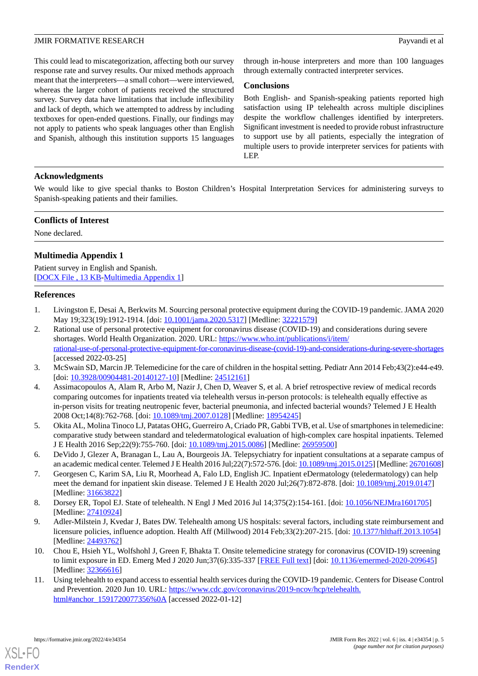#### **JMIR FORMATIVE RESEARCH Payvandi et al.** Payvandi et al.

This could lead to miscategorization, affecting both our survey response rate and survey results. Our mixed methods approach meant that the interpreters—a small cohort—were interviewed, whereas the larger cohort of patients received the structured survey. Survey data have limitations that include inflexibility and lack of depth, which we attempted to address by including textboxes for open-ended questions. Finally, our findings may not apply to patients who speak languages other than English and Spanish, although this institution supports 15 languages through in-house interpreters and more than 100 languages through externally contracted interpreter services.

#### **Conclusions**

Both English- and Spanish-speaking patients reported high satisfaction using IP telehealth across multiple disciplines despite the workflow challenges identified by interpreters. Significant investment is needed to provide robust infrastructure to support use by all patients, especially the integration of multiple users to provide interpreter services for patients with LEP.

#### **Acknowledgments**

We would like to give special thanks to Boston Children's Hospital Interpretation Services for administering surveys to Spanish-speaking patients and their families.

#### **Conflicts of Interest**

<span id="page-4-7"></span>None declared.

### **Multimedia Appendix 1**

<span id="page-4-0"></span>Patient survey in English and Spanish. [[DOCX File , 13 KB](https://jmir.org/api/download?alt_name=formative_v6i4e34354_app1.docx&filename=c905309721e0e4af2abd64611fbee948.docx)-[Multimedia Appendix 1\]](https://jmir.org/api/download?alt_name=formative_v6i4e34354_app1.docx&filename=c905309721e0e4af2abd64611fbee948.docx)

#### <span id="page-4-1"></span>**References**

- 1. Livingston E, Desai A, Berkwits M. Sourcing personal protective equipment during the COVID-19 pandemic. JAMA 2020 May 19;323(19):1912-1914. [doi: [10.1001/jama.2020.5317](http://dx.doi.org/10.1001/jama.2020.5317)] [Medline: [32221579\]](http://www.ncbi.nlm.nih.gov/entrez/query.fcgi?cmd=Retrieve&db=PubMed&list_uids=32221579&dopt=Abstract)
- <span id="page-4-2"></span>2. Rational use of personal protective equipment for coronavirus disease (COVID-19) and considerations during severe shortages. World Health Organization. 2020. URL: [https://www.who.int/publications/i/item/](https://www.who.int/publications/i/item/rational-use-of-personal-protective-equipment-for-coronavirus-disease-(covid-19)-and-considerations-during-severe-shortages) [rational-use-of-personal-protective-equipment-for-coronavirus-disease-\(covid-19\)-and-considerations-during-severe-shortages](https://www.who.int/publications/i/item/rational-use-of-personal-protective-equipment-for-coronavirus-disease-(covid-19)-and-considerations-during-severe-shortages) [accessed 2022-03-25]
- 3. McSwain SD, Marcin JP. Telemedicine for the care of children in the hospital setting. Pediatr Ann 2014 Feb;43(2):e44-e49. [doi: [10.3928/00904481-20140127-10\]](http://dx.doi.org/10.3928/00904481-20140127-10) [Medline: [24512161\]](http://www.ncbi.nlm.nih.gov/entrez/query.fcgi?cmd=Retrieve&db=PubMed&list_uids=24512161&dopt=Abstract)
- 4. Assimacopoulos A, Alam R, Arbo M, Nazir J, Chen D, Weaver S, et al. A brief retrospective review of medical records comparing outcomes for inpatients treated via telehealth versus in-person protocols: is telehealth equally effective as in-person visits for treating neutropenic fever, bacterial pneumonia, and infected bacterial wounds? Telemed J E Health 2008 Oct;14(8):762-768. [doi: [10.1089/tmj.2007.0128](http://dx.doi.org/10.1089/tmj.2007.0128)] [Medline: [18954245\]](http://www.ncbi.nlm.nih.gov/entrez/query.fcgi?cmd=Retrieve&db=PubMed&list_uids=18954245&dopt=Abstract)
- <span id="page-4-3"></span>5. Okita AL, Molina Tinoco LJ, Patatas OHG, Guerreiro A, Criado PR, Gabbi TVB, et al. Use of smartphones in telemedicine: comparative study between standard and teledermatological evaluation of high-complex care hospital inpatients. Telemed J E Health 2016 Sep;22(9):755-760. [doi: [10.1089/tmj.2015.0086\]](http://dx.doi.org/10.1089/tmj.2015.0086) [Medline: [26959500](http://www.ncbi.nlm.nih.gov/entrez/query.fcgi?cmd=Retrieve&db=PubMed&list_uids=26959500&dopt=Abstract)]
- <span id="page-4-4"></span>6. DeVido J, Glezer A, Branagan L, Lau A, Bourgeois JA. Telepsychiatry for inpatient consultations at a separate campus of an academic medical center. Telemed J E Health 2016 Jul;22(7):572-576. [doi: [10.1089/tmj.2015.0125](http://dx.doi.org/10.1089/tmj.2015.0125)] [Medline: [26701608](http://www.ncbi.nlm.nih.gov/entrez/query.fcgi?cmd=Retrieve&db=PubMed&list_uids=26701608&dopt=Abstract)]
- <span id="page-4-5"></span>7. Georgesen C, Karim SA, Liu R, Moorhead A, Falo LD, English JC. Inpatient eDermatology (teledermatology) can help meet the demand for inpatient skin disease. Telemed J E Health 2020 Jul;26(7):872-878. [doi: [10.1089/tmj.2019.0147\]](http://dx.doi.org/10.1089/tmj.2019.0147) [Medline: [31663822](http://www.ncbi.nlm.nih.gov/entrez/query.fcgi?cmd=Retrieve&db=PubMed&list_uids=31663822&dopt=Abstract)]
- <span id="page-4-6"></span>8. Dorsey ER, Topol EJ. State of telehealth. N Engl J Med 2016 Jul 14;375(2):154-161. [doi: [10.1056/NEJMra1601705](http://dx.doi.org/10.1056/NEJMra1601705)] [Medline: [27410924](http://www.ncbi.nlm.nih.gov/entrez/query.fcgi?cmd=Retrieve&db=PubMed&list_uids=27410924&dopt=Abstract)]
- 9. Adler-Milstein J, Kvedar J, Bates DW. Telehealth among US hospitals: several factors, including state reimbursement and licensure policies, influence adoption. Health Aff (Millwood) 2014 Feb;33(2):207-215. [doi: [10.1377/hlthaff.2013.1054\]](http://dx.doi.org/10.1377/hlthaff.2013.1054) [Medline: [24493762](http://www.ncbi.nlm.nih.gov/entrez/query.fcgi?cmd=Retrieve&db=PubMed&list_uids=24493762&dopt=Abstract)]
- 10. Chou E, Hsieh YL, Wolfshohl J, Green F, Bhakta T. Onsite telemedicine strategy for coronavirus (COVID-19) screening to limit exposure in ED. Emerg Med J 2020 Jun;37(6):335-337 [\[FREE Full text\]](https://doi.org/10.1136/emermed-2020-209645) [doi: [10.1136/emermed-2020-209645](http://dx.doi.org/10.1136/emermed-2020-209645)] [Medline: [32366616](http://www.ncbi.nlm.nih.gov/entrez/query.fcgi?cmd=Retrieve&db=PubMed&list_uids=32366616&dopt=Abstract)]
- 11. Using telehealth to expand access to essential health services during the COVID-19 pandemic. Centers for Disease Control and Prevention. 2020 Jun 10. URL: [https://www.cdc.gov/coronavirus/2019-ncov/hcp/telehealth.](https://www.cdc.gov/coronavirus/2019-ncov/hcp/telehealth.html#anchor_1591720077356%0A) [html#anchor\\_1591720077356%0A](https://www.cdc.gov/coronavirus/2019-ncov/hcp/telehealth.html#anchor_1591720077356%0A) [accessed 2022-01-12]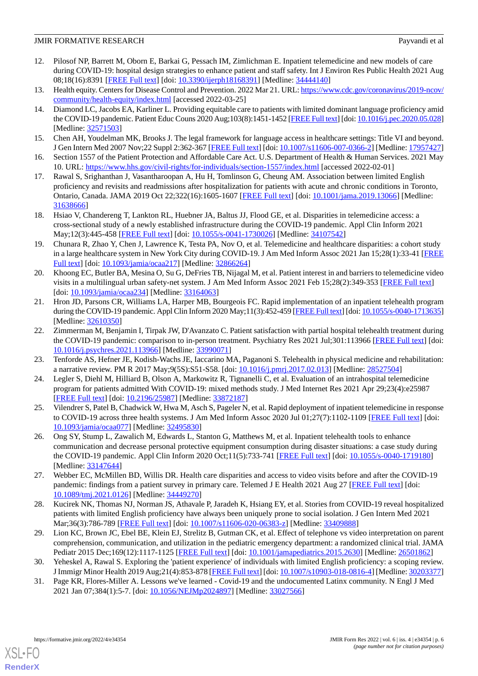- <span id="page-5-0"></span>12. Pilosof NP, Barrett M, Oborn E, Barkai G, Pessach IM, Zimlichman E. Inpatient telemedicine and new models of care during COVID-19: hospital design strategies to enhance patient and staff safety. Int J Environ Res Public Health 2021 Aug 08;18(16):8391 [[FREE Full text\]](https://www.mdpi.com/resolver?pii=ijerph18168391) [doi: [10.3390/ijerph18168391\]](http://dx.doi.org/10.3390/ijerph18168391) [Medline: [34444140\]](http://www.ncbi.nlm.nih.gov/entrez/query.fcgi?cmd=Retrieve&db=PubMed&list_uids=34444140&dopt=Abstract)
- <span id="page-5-2"></span><span id="page-5-1"></span>13. Health equity. Centers for Disease Control and Prevention. 2022 Mar 21. URL: [https://www.cdc.gov/coronavirus/2019-ncov/](https://www.cdc.gov/coronavirus/2019-ncov/community/health-equity/index.html) [community/health-equity/index.html](https://www.cdc.gov/coronavirus/2019-ncov/community/health-equity/index.html) [accessed 2022-03-25]
- 14. Diamond LC, Jacobs EA, Karliner L. Providing equitable care to patients with limited dominant language proficiency amid the COVID-19 pandemic. Patient Educ Couns 2020 Aug;103(8):1451-1452 [\[FREE Full text](http://europepmc.org/abstract/MED/32571503)] [doi: [10.1016/j.pec.2020.05.028\]](http://dx.doi.org/10.1016/j.pec.2020.05.028) [Medline: [32571503](http://www.ncbi.nlm.nih.gov/entrez/query.fcgi?cmd=Retrieve&db=PubMed&list_uids=32571503&dopt=Abstract)]
- <span id="page-5-4"></span><span id="page-5-3"></span>15. Chen AH, Youdelman MK, Brooks J. The legal framework for language access in healthcare settings: Title VI and beyond. J Gen Intern Med 2007 Nov;22 Suppl 2:362-367 [[FREE Full text](http://europepmc.org/abstract/MED/17957427)] [doi: [10.1007/s11606-007-0366-2\]](http://dx.doi.org/10.1007/s11606-007-0366-2) [Medline: [17957427](http://www.ncbi.nlm.nih.gov/entrez/query.fcgi?cmd=Retrieve&db=PubMed&list_uids=17957427&dopt=Abstract)]
- <span id="page-5-5"></span>16. Section 1557 of the Patient Protection and Affordable Care Act. U.S. Department of Health & Human Services. 2021 May 10. URL: <https://www.hhs.gov/civil-rights/for-individuals/section-1557/index.html> [accessed 2022-02-01]
- <span id="page-5-6"></span>17. Rawal S, Srighanthan J, Vasantharoopan A, Hu H, Tomlinson G, Cheung AM. Association between limited English proficiency and revisits and readmissions after hospitalization for patients with acute and chronic conditions in Toronto, Ontario, Canada. JAMA 2019 Oct 22;322(16):1605-1607 [[FREE Full text](http://europepmc.org/abstract/MED/31638666)] [doi: [10.1001/jama.2019.13066](http://dx.doi.org/10.1001/jama.2019.13066)] [Medline: [31638666](http://www.ncbi.nlm.nih.gov/entrez/query.fcgi?cmd=Retrieve&db=PubMed&list_uids=31638666&dopt=Abstract)]
- 18. Hsiao V, Chandereng T, Lankton RL, Huebner JA, Baltus JJ, Flood GE, et al. Disparities in telemedicine access: a cross-sectional study of a newly established infrastructure during the COVID-19 pandemic. Appl Clin Inform 2021 May;12(3):445-458 [\[FREE Full text\]](https://doi.org/10.1055/s-0041-1730026) [doi: [10.1055/s-0041-1730026\]](http://dx.doi.org/10.1055/s-0041-1730026) [Medline: [34107542\]](http://www.ncbi.nlm.nih.gov/entrez/query.fcgi?cmd=Retrieve&db=PubMed&list_uids=34107542&dopt=Abstract)
- <span id="page-5-7"></span>19. Chunara R, Zhao Y, Chen J, Lawrence K, Testa PA, Nov O, et al. Telemedicine and healthcare disparities: a cohort study in a large healthcare system in New York City during COVID-19. J Am Med Inform Assoc 2021 Jan 15;28(1):33-41 [\[FREE](http://europepmc.org/abstract/MED/32866264) [Full text\]](http://europepmc.org/abstract/MED/32866264) [doi: [10.1093/jamia/ocaa217\]](http://dx.doi.org/10.1093/jamia/ocaa217) [Medline: [32866264\]](http://www.ncbi.nlm.nih.gov/entrez/query.fcgi?cmd=Retrieve&db=PubMed&list_uids=32866264&dopt=Abstract)
- <span id="page-5-8"></span>20. Khoong EC, Butler BA, Mesina O, Su G, DeFries TB, Nijagal M, et al. Patient interest in and barriers to telemedicine video visits in a multilingual urban safety-net system. J Am Med Inform Assoc 2021 Feb 15;28(2):349-353 [\[FREE Full text\]](http://europepmc.org/abstract/MED/33164063) [doi: [10.1093/jamia/ocaa234\]](http://dx.doi.org/10.1093/jamia/ocaa234) [Medline: [33164063](http://www.ncbi.nlm.nih.gov/entrez/query.fcgi?cmd=Retrieve&db=PubMed&list_uids=33164063&dopt=Abstract)]
- <span id="page-5-9"></span>21. Hron JD, Parsons CR, Williams LA, Harper MB, Bourgeois FC. Rapid implementation of an inpatient telehealth program during the COVID-19 pandemic. Appl Clin Inform 2020 May;11(3):452-459 [\[FREE Full text\]](http://europepmc.org/abstract/MED/32610350) [doi: [10.1055/s-0040-1713635\]](http://dx.doi.org/10.1055/s-0040-1713635) [Medline: [32610350](http://www.ncbi.nlm.nih.gov/entrez/query.fcgi?cmd=Retrieve&db=PubMed&list_uids=32610350&dopt=Abstract)]
- <span id="page-5-10"></span>22. Zimmerman M, Benjamin I, Tirpak JW, D'Avanzato C. Patient satisfaction with partial hospital telehealth treatment during the COVID-19 pandemic: comparison to in-person treatment. Psychiatry Res 2021 Jul;301:113966 [[FREE Full text](http://europepmc.org/abstract/MED/33990071)] [doi: [10.1016/j.psychres.2021.113966](http://dx.doi.org/10.1016/j.psychres.2021.113966)] [Medline: [33990071\]](http://www.ncbi.nlm.nih.gov/entrez/query.fcgi?cmd=Retrieve&db=PubMed&list_uids=33990071&dopt=Abstract)
- <span id="page-5-14"></span>23. Tenforde AS, Hefner JE, Kodish-Wachs JE, Iaccarino MA, Paganoni S. Telehealth in physical medicine and rehabilitation: a narrative review. PM R 2017 May;9(5S):S51-S58. [doi: [10.1016/j.pmrj.2017.02.013\]](http://dx.doi.org/10.1016/j.pmrj.2017.02.013) [Medline: [28527504\]](http://www.ncbi.nlm.nih.gov/entrez/query.fcgi?cmd=Retrieve&db=PubMed&list_uids=28527504&dopt=Abstract)
- <span id="page-5-11"></span>24. Legler S, Diehl M, Hilliard B, Olson A, Markowitz R, Tignanelli C, et al. Evaluation of an intrahospital telemedicine program for patients admitted With COVID-19: mixed methods study. J Med Internet Res 2021 Apr 29;23(4):e25987 [[FREE Full text](https://www.jmir.org/2021/4/e25987/)] [doi: [10.2196/25987\]](http://dx.doi.org/10.2196/25987) [Medline: [33872187\]](http://www.ncbi.nlm.nih.gov/entrez/query.fcgi?cmd=Retrieve&db=PubMed&list_uids=33872187&dopt=Abstract)
- 25. Vilendrer S, Patel B, Chadwick W, Hwa M, Asch S, Pageler N, et al. Rapid deployment of inpatient telemedicine in response to COVID-19 across three health systems. J Am Med Inform Assoc 2020 Jul 01;27(7):1102-1109 [\[FREE Full text\]](http://europepmc.org/abstract/MED/32495830) [doi: [10.1093/jamia/ocaa077](http://dx.doi.org/10.1093/jamia/ocaa077)] [Medline: [32495830\]](http://www.ncbi.nlm.nih.gov/entrez/query.fcgi?cmd=Retrieve&db=PubMed&list_uids=32495830&dopt=Abstract)
- <span id="page-5-13"></span><span id="page-5-12"></span>26. Ong SY, Stump L, Zawalich M, Edwards L, Stanton G, Matthews M, et al. Inpatient telehealth tools to enhance communication and decrease personal protective equipment consumption during disaster situations: a case study during the COVID-19 pandemic. Appl Clin Inform 2020 Oct;11(5):733-741 [[FREE Full text](http://europepmc.org/abstract/MED/33147644)] [doi: [10.1055/s-0040-1719180](http://dx.doi.org/10.1055/s-0040-1719180)] [Medline: [33147644](http://www.ncbi.nlm.nih.gov/entrez/query.fcgi?cmd=Retrieve&db=PubMed&list_uids=33147644&dopt=Abstract)]
- <span id="page-5-15"></span>27. Webber EC, McMillen BD, Willis DR. Health care disparities and access to video visits before and after the COVID-19 pandemic: findings from a patient survey in primary care. Telemed J E Health 2021 Aug 27 [\[FREE Full text\]](https://doi.org/10.1089/tmj.2021.0126) [doi: [10.1089/tmj.2021.0126](http://dx.doi.org/10.1089/tmj.2021.0126)] [Medline: [34449270\]](http://www.ncbi.nlm.nih.gov/entrez/query.fcgi?cmd=Retrieve&db=PubMed&list_uids=34449270&dopt=Abstract)
- <span id="page-5-16"></span>28. Kucirek NK, Thomas NJ, Norman JS, Athavale P, Jaradeh K, Hsiang EY, et al. Stories from COVID-19 reveal hospitalized patients with limited English proficiency have always been uniquely prone to social isolation. J Gen Intern Med 2021 Mar;36(3):786-789 [[FREE Full text\]](http://europepmc.org/abstract/MED/33409888) [doi: [10.1007/s11606-020-06383-z\]](http://dx.doi.org/10.1007/s11606-020-06383-z) [Medline: [33409888\]](http://www.ncbi.nlm.nih.gov/entrez/query.fcgi?cmd=Retrieve&db=PubMed&list_uids=33409888&dopt=Abstract)
- <span id="page-5-17"></span>29. Lion KC, Brown JC, Ebel BE, Klein EJ, Strelitz B, Gutman CK, et al. Effect of telephone vs video interpretation on parent comprehension, communication, and utilization in the pediatric emergency department: a randomized clinical trial. JAMA Pediatr 2015 Dec;169(12):1117-1125 [\[FREE Full text\]](http://europepmc.org/abstract/MED/26501862) [doi: [10.1001/jamapediatrics.2015.2630\]](http://dx.doi.org/10.1001/jamapediatrics.2015.2630) [Medline: [26501862](http://www.ncbi.nlm.nih.gov/entrez/query.fcgi?cmd=Retrieve&db=PubMed&list_uids=26501862&dopt=Abstract)]
- 30. Yeheskel A, Rawal S. Exploring the 'patient experience' of individuals with limited English proficiency: a scoping review. J Immigr Minor Health 2019 Aug;21(4):853-878 [\[FREE Full text](https://doi.org/10.1007/s10903-018-0816-4)] [doi: [10.1007/s10903-018-0816-4](http://dx.doi.org/10.1007/s10903-018-0816-4)] [Medline: [30203377](http://www.ncbi.nlm.nih.gov/entrez/query.fcgi?cmd=Retrieve&db=PubMed&list_uids=30203377&dopt=Abstract)]
- 31. Page KR, Flores-Miller A. Lessons we've learned Covid-19 and the undocumented Latinx community. N Engl J Med 2021 Jan 07;384(1):5-7. [doi: [10.1056/NEJMp2024897](http://dx.doi.org/10.1056/NEJMp2024897)] [Medline: [33027566\]](http://www.ncbi.nlm.nih.gov/entrez/query.fcgi?cmd=Retrieve&db=PubMed&list_uids=33027566&dopt=Abstract)